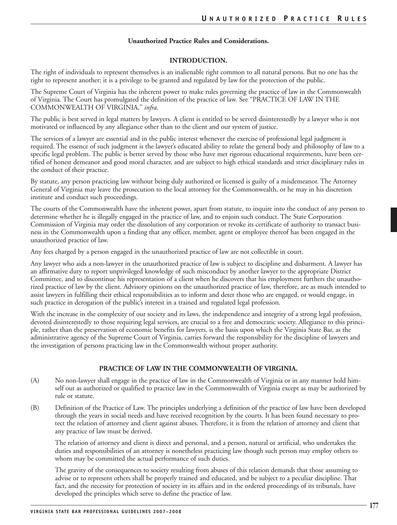### **Unauthorized Practice Rules and Considerations.**

#### **INTRODUCTION.**

The right of individuals to represent themselves is an inalienable right common to all natural persons. But no one has the right to represent another; it is a privilege to be granted and regulated by law for the protection of the public.

The Supreme Court of Virginia has the inherent power to make rules governing the practice of law in the Commonwealth of Virginia. The Court has promulgated the definition of the practice of law. See "PRACTICE OF LAW IN THE COMMONWEALTH OF VIRGINIA," *infra*.

The public is best served in legal matters by lawyers. A client is entitled to be served disinterestedly by a lawyer who is not motivated or influenced by any allegiance other than to the client and our system of justice.

The services of a lawyer are essential and in the public interest whenever the exercise of professional legal judgment is required. The essence of such judgment is the lawyer's educated ability to relate the general body and philosophy of law to a specific legal problem. The public is better served by those who have met rigorous educational requirements, have been certified of honest demeanor and good moral character, and are subject to high ethical standards and strict disciplinary rules in the conduct of their practice.

By statute, any person practicing law without being duly authorized or licensed is guilty of a misdemeanor. The Attorney General of Virginia may leave the prosecution to the local attorney for the Commonwealth, or he may in his discretion institute and conduct such proceedings.

The courts of the Commonwealth have the inherent power, apart from statute, to inquire into the conduct of any person to determine whether he is illegally engaged in the practice of law, and to enjoin such conduct. The State Corporation Commission of Virginia may order the dissolution of any corporation or revoke its certificate of authority to transact business in the Commonwealth upon a finding that any officer, member, agent or employee thereof has been engaged in the unauthorized practice of law.

Any fees charged by a person engaged in the unauthorized practice of law are not collectible in court.

Any lawyer who aids a non-lawyer in the unauthorized practice of law is subject to discipline and disbarment. A lawyer has an affirmative duty to report unprivileged knowledge of such misconduct by another lawyer to the appropriate District Committee, and to discontinue his representation of a client when he discovers that his employment furthers the unauthorized practice of law by the client. Advisory opinions on the unauthorized practice of law, therefore, are as much intended to assist lawyers in fulfilling their ethical responsibilities as to inform and deter those who are engaged, or would engage, in such practice in derogation of the public's interest in a trained and regulated legal profession.

With the increase in the complexity of our society and its laws, the independence and integrity of a strong legal profession, devoted disinterestedly to those requiring legal services, are crucial to a free and democratic society. Allegiance to this principle, rather than the preservation of economic benefits for lawyers, is the basis upon which the Virginia State Bar, as the administrative agency of the Supreme Court of Virginia, carries forward the responsibility for the discipline of lawyers and the investigation of persons practicing law in the Commonwealth without proper authority.

#### **PRACTICE OF LAW IN THE COMMONWEALTH OF VIRGINIA.**

- (A) No non-lawyer shall engage in the practice of law in the Commonwealth of Virginia or in any manner hold himself out as authorized or qualified to practice law in the Commonwealth of Virginia except as may be authorized by rule or statute.
- (B) Definition of the Practice of Law. The principles underlying a definition of the practice of law have been developed through the years in social needs and have received recognition by the courts. It has been found necessary to protect the relation of attorney and client against abuses. Therefore, it is from the relation of attorney and client that any practice of law must be derived.

The relation of attorney and client is direct and personal, and a person, natural or artificial, who undertakes the duties and responsibilities of an attorney is nonetheless practicing law though such person may employ others to whom may be committed the actual performance of such duties.

The gravity of the consequences to society resulting from abuses of this relation demands that those assuming to advise or to represent others shall be properly trained and educated, and be subject to a peculiar discipline. That fact, and the necessity for protection of society in its affairs and in the ordered proceedings of its tribunals, have developed the principles which serve to define the practice of law.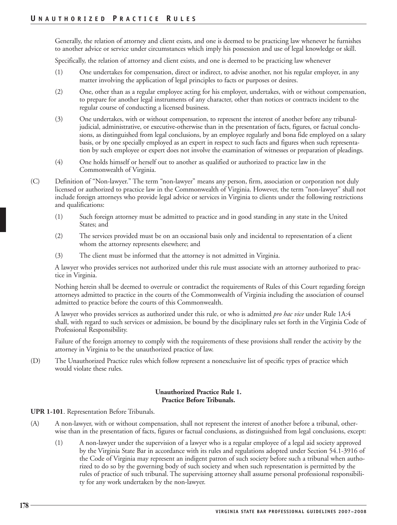Generally, the relation of attorney and client exists, and one is deemed to be practicing law whenever he furnishes to another advice or service under circumstances which imply his possession and use of legal knowledge or skill.

Specifically, the relation of attorney and client exists, and one is deemed to be practicing law whenever

- (1) One undertakes for compensation, direct or indirect, to advise another, not his regular employer, in any matter involving the application of legal principles to facts or purposes or desires.
- (2) One, other than as a regular employee acting for his employer, undertakes, with or without compensation, to prepare for another legal instruments of any character, other than notices or contracts incident to the regular course of conducting a licensed business.
- (3) One undertakes, with or without compensation, to represent the interest of another before any tribunaljudicial, administrative, or executive-otherwise than in the presentation of facts, figures, or factual conclusions, as distinguished from legal conclusions, by an employee regularly and bona fide employed on a salary basis, or by one specially employed as an expert in respect to such facts and figures when such representation by such employee or expert does not involve the examination of witnesses or preparation of pleadings.
- (4) One holds himself or herself out to another as qualified or authorized to practice law in the Commonwealth of Virginia.
- (C) Definition of "Non-lawyer." The term "non-lawyer" means any person, firm, association or corporation not duly licensed or authorized to practice law in the Commonwealth of Virginia. However, the term "non-lawyer" shall not include foreign attorneys who provide legal advice or services in Virginia to clients under the following restrictions and qualifications:
	- (1) Such foreign attorney must be admitted to practice and in good standing in any state in the United States; and
	- (2) The services provided must be on an occasional basis only and incidental to representation of a client whom the attorney represents elsewhere; and
	- (3) The client must be informed that the attorney is not admitted in Virginia.

A lawyer who provides services not authorized under this rule must associate with an attorney authorized to practice in Virginia.

Nothing herein shall be deemed to overrule or contradict the requirements of Rules of this Court regarding foreign attorneys admitted to practice in the courts of the Commonwealth of Virginia including the association of counsel admitted to practice before the courts of this Commonwealth.

A lawyer who provides services as authorized under this rule, or who is admitted *pro hac vice* under Rule 1A:4 shall, with regard to such services or admission, be bound by the disciplinary rules set forth in the Virginia Code of Professional Responsibility.

Failure of the foreign attorney to comply with the requirements of these provisions shall render the activity by the attorney in Virginia to be the unauthorized practice of law.

(D) The Unauthorized Practice rules which follow represent a nonexclusive list of specific types of practice which would violate these rules.

#### **Unauthorized Practice Rule 1. Practice Before Tribunals.**

## **UPR 1-101**. Representation Before Tribunals.

- (A) A non-lawyer, with or without compensation, shall not represent the interest of another before a tribunal, otherwise than in the presentation of facts, figures or factual conclusions, as distinguished from legal conclusions, except:
	- (1) A non-lawyer under the supervision of a lawyer who is a regular employee of a legal aid society approved by the Virginia State Bar in accordance with its rules and regulations adopted under Section 54.1-3916 of the Code of Virginia may represent an indigent patron of such society before such a tribunal when authorized to do so by the governing body of such society and when such representation is permitted by the rules of practice of such tribunal. The supervising attorney shall assume personal professional responsibility for any work undertaken by the non-lawyer.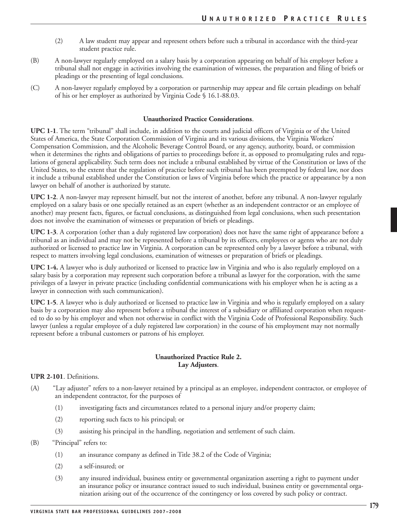- (2) A law student may appear and represent others before such a tribunal in accordance with the third-year student practice rule.
- (B) A non-lawyer regularly employed on a salary basis by a corporation appearing on behalf of his employer before a tribunal shall not engage in activities involving the examination of witnesses, the preparation and filing of briefs or pleadings or the presenting of legal conclusions.
- (C) A non-lawyer regularly employed by a corporation or partnership may appear and file certain pleadings on behalf of his or her employer as authorized by Virginia Code § 16.1-88.03.

### **Unauthorized Practice Considerations**.

**UPC 1-1**. The term "tribunal" shall include, in addition to the courts and judicial officers of Virginia or of the United States of America, the State Corporation Commission of Virginia and its various divisions, the Virginia Workers' Compensation Commission, and the Alcoholic Beverage Control Board, or any agency, authority, board, or commission when it determines the rights and obligations of parties to proceedings before it, as opposed to promulgating rules and regulations of general applicability. Such term does not include a tribunal established by virtue of the Constitution or laws of the United States, to the extent that the regulation of practice before such tribunal has been preempted by federal law, nor does it include a tribunal established under the Constitution or laws of Virginia before which the practice or appearance by a non lawyer on behalf of another is authorized by statute.

**UPC 1-2**. A non-lawyer may represent himself, but not the interest of another, before any tribunal. A non-lawyer regularly employed on a salary basis or one specially retained as an expert (whether as an independent contractor or an employee of another) may present facts, figures, or factual conclusions, as distinguished from legal conclusions, when such presentation does not involve the examination of witnesses or preparation of briefs or pleadings.

**UPC 1-3**. A corporation (other than a duly registered law corporation) does not have the same right of appearance before a tribunal as an individual and may not be represented before a tribunal by its officers, employees or agents who are not duly authorized or licensed to practice law in Virginia. A corporation can be represented only by a lawyer before a tribunal, with respect to matters involving legal conclusions, examination of witnesses or preparation of briefs or pleadings.

**UPC 1-4.** A lawyer who is duly authorized or licensed to practice law in Virginia and who is also regularly employed on a salary basis by a corporation may represent such corporation before a tribunal as lawyer for the corporation, with the same privileges of a lawyer in private practice (including confidential communications with his employer when he is acting as a lawyer in connection with such communication).

**UPC 1-5**. A lawyer who is duly authorized or licensed to practice law in Virginia and who is regularly employed on a salary basis by a corporation may also represent before a tribunal the interest of a subsidiary or affiliated corporation when requested to do so by his employer and when not otherwise in conflict with the Virginia Code of Professional Responsibility. Such lawyer (unless a regular employee of a duly registered law corporation) in the course of his employment may not normally represent before a tribunal customers or patrons of his employer.

### **Unauthorized Practice Rule 2. Lay Adjusters**.

#### **UPR 2-101**. Definitions.

- (A) "Lay adjuster" refers to a non-lawyer retained by a principal as an employee, independent contractor, or employee of an independent contractor, for the purposes of
	- (1) investigating facts and circumstances related to a personal injury and/or property claim;
	- (2) reporting such facts to his principal; or
	- (3) assisting his principal in the handling, negotiation and settlement of such claim.
- (B) "Principal" refers to:
	- (1) an insurance company as defined in Title 38.2 of the Code of Virginia;
	- (2) a self-insured; or
	- (3) any insured individual, business entity or governmental organization asserting a right to payment under an insurance policy or insurance contract issued to such individual, business entity or governmental organization arising out of the occurrence of the contingency or loss covered by such policy or contract.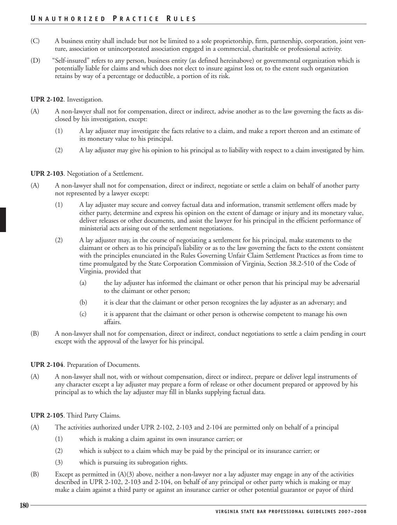- (C) A business entity shall include but not be limited to a sole proprietorship, firm, partnership, corporation, joint venture, association or unincorporated association engaged in a commercial, charitable or professional activity.
- (D) "Self-insured" refers to any person, business entity (as defined hereinabove) or governmental organization which is potentially liable for claims and which does not elect to insure against loss or, to the extent such organization retains by way of a percentage or deductible, a portion of its risk.

# **UPR 2-102**. Investigation.

- (A) A non-lawyer shall not for compensation, direct or indirect, advise another as to the law governing the facts as disclosed by his investigation, except:
	- (1) A lay adjuster may investigate the facts relative to a claim, and make a report thereon and an estimate of its monetary value to his principal.
	- (2) A lay adjuster may give his opinion to his principal as to liability with respect to a claim investigated by him.

## **UPR 2-103**. Negotiation of a Settlement.

- (A) A non-lawyer shall not for compensation, direct or indirect, negotiate or settle a claim on behalf of another party not represented by a lawyer except:
	- (1) A lay adjuster may secure and convey factual data and information, transmit settlement offers made by either party, determine and express his opinion on the extent of damage or injury and its monetary value, deliver releases or other documents, and assist the lawyer for his principal in the efficient performance of ministerial acts arising out of the settlement negotiations.
	- (2) A lay adjuster may, in the course of negotiating a settlement for his principal, make statements to the claimant or others as to his principal's liability or as to the law governing the facts to the extent consistent with the principles enunciated in the Rules Governing Unfair Claim Settlement Practices as from time to time promulgated by the State Corporation Commission of Virginia, Section 38.2-510 of the Code of Virginia, provided that
		- (a) the lay adjuster has informed the claimant or other person that his principal may be adversarial to the claimant or other person;
		- (b) it is clear that the claimant or other person recognizes the lay adjuster as an adversary; and
		- (c) it is apparent that the claimant or other person is otherwise competent to manage his own affairs.
- (B) A non-lawyer shall not for compensation, direct or indirect, conduct negotiations to settle a claim pending in court except with the approval of the lawyer for his principal.

## **UPR 2-104**. Preparation of Documents.

(A) A non-lawyer shall not, with or without compensation, direct or indirect, prepare or deliver legal instruments of any character except a lay adjuster may prepare a form of release or other document prepared or approved by his principal as to which the lay adjuster may fill in blanks supplying factual data.

## **UPR 2-105**. Third Party Claims.

- (A) The activities authorized under UPR 2-102, 2-103 and 2-104 are permitted only on behalf of a principal
	- (1) which is making a claim against its own insurance carrier; or
	- (2) which is subject to a claim which may be paid by the principal or its insurance carrier; or
	- (3) which is pursuing its subrogation rights.
- (B) Except as permitted in  $(A)(3)$  above, neither a non-lawyer nor a lay adjuster may engage in any of the activities described in UPR 2-102, 2-103 and 2-104, on behalf of any principal or other party which is making or may make a claim against a third party or against an insurance carrier or other potential guarantor or payor of third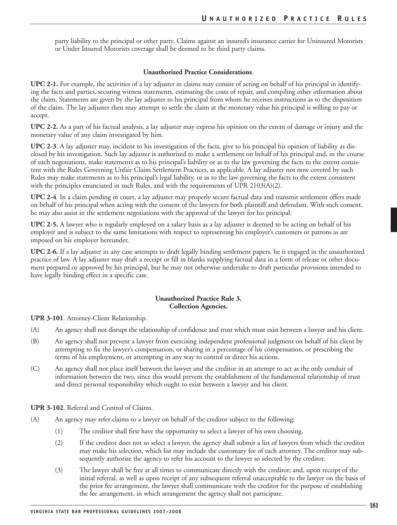party liability to the principal or other party. Claims against an insured's insurance carrier for Uninsured Motorists or Under Insured Motorists coverage shall be deemed to be third party claims.

### **Unauthorized Practice Considerations**.

**UPC 2-1.** For example, the activities of a lay adjuster in claims may consist of acting on behalf of his principal in identifying the facts and parties, securing witness statements, estimating the costs of repair, and compiling other information about the claim. Statements are given by the lay adjuster to his principal from whom he receives instructions as to the disposition of the claim. The lay adjuster then may attempt to settle the claim at the monetary value his principal is willing to pay or accept.

**UPC 2-2.** As a part of his factual analysis, a lay adjuster may express his opinion on the extent of damage or injury and the monetary value of any claim investigated by him.

**UPC 2-3**. A lay adjuster may, incident to his investigation of the facts, give to his principal his opinion of liability as disclosed by his investigation. Such lay adjuster is authorized to make a settlement on behalf of his principal and, in the course of such negotiations, make statements as to his principal's liability or as to the law governing the facts to the extent consistent with the Rules Governing Unfair Claim Settlement Practices, as applicable. A lay adjuster not now covered by such Rules may make statements as to his principal's legal liability, or as to the law governing the facts to the extent consistent with the principles enunciated in such Rules, and with the requirements of UPR 2103(A)(2).

**UPC 2-4**. In a claim pending in court, a lay adjuster may properly secure factual data and transmit settlement offers made on behalf of his principal when acting with the consent of the lawyers for both plaintiff and defendant. With such consent, he may also assist in the settlement negotiations with the approval of the lawyer for his principal.

**UPC 2-5.** A lawyer who is regularly employed on a salary basis as a lay adjuster is deemed to be acting on behalf of his employer and is subject to the same limitations with respect to representing his employer's customers or patrons as are imposed on his employer hereunder.

**UPC 2-6.** If a lay adjuster in any case attempts to draft legally binding settlement papers, he is engaged in the unauthorized practice of law. A lay adjuster may draft a receipt or fill in blanks supplying factual data in a form of release or other document prepared or approved by his principal, but he may not otherwise undertake to draft particular provisions intended to have legally binding effect in a specific case.

### **Unauthorized Practice Rule 3. Collection Agencies.**

**UPR 3-101**. Attorney-Client Relationship.

- (A) An agency shall not disrupt the relationship of confidence and trust which must exist between a lawyer and his client.
- (B) An agency shall not prevent a lawyer from exercising independent professional judgment on behalf of his client by attempting to fix the lawyer's compensation, or sharing in a percentage of his compensation, or prescribing the terms of his employment, or attempting in any way to control or direct his actions.
- (C) An agency shall not place itself between the lawyer and the creditor in an attempt to act as the only conduit of information between the two, since this would prevent the establishment of the fundamental relationship of trust and direct personal responsibility which ought to exist between a lawyer and his client.

**UPR 3-102**. Referral and Control of Claims.

- (A) An agency may refer claims to a lawyer on behalf of the creditor subject to the following:
	- (1) The creditor shall first have the opportunity to select a lawyer of his own choosing.
	- (2) If the creditor does not so select a lawyer, the agency shall submit a list of lawyers from which the creditor may make his selection, which list may include the customary fee of each attorney. The creditor may subsequently authorize the agency to refer his account to the lawyer so selected by the creditor.
	- (3) The lawyer shall be free at all times to communicate directly with the creditor; and, upon receipt of the initial referral, as well as upon receipt of any subsequent referral unacceptable to the lawyer on the basis of the prior fee arrangement, the lawyer shall communicate with the creditor for the purpose of establishing the fee arrangement, in which arrangement the agency shall not participate.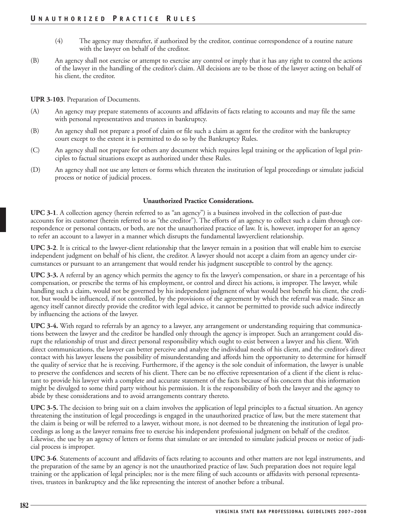- (4) The agency may thereafter, if authorized by the creditor, continue correspondence of a routine nature with the lawyer on behalf of the creditor.
- (B) An agency shall not exercise or attempt to exercise any control or imply that it has any right to control the actions of the lawyer in the handling of the creditor's claim. All decisions are to be those of the lawyer acting on behalf of his client, the creditor.

**UPR 3-103**. Preparation of Documents.

- (A) An agency may prepare statements of accounts and affidavits of facts relating to accounts and may file the same with personal representatives and trustees in bankruptcy.
- (B) An agency shall not prepare a proof of claim or file such a claim as agent for the creditor with the bankruptcy court except to the extent it is permitted to do so by the Bankruptcy Rules.
- (C) An agency shall not prepare for others any document which requires legal training or the application of legal principles to factual situations except as authorized under these Rules.
- (D) An agency shall not use any letters or forms which threaten the institution of legal proceedings or simulate judicial process or notice of judicial process.

### **Unauthorized Practice Considerations.**

**UPC 3-1**. A collection agency (herein referred to as "an agency") is a business involved in the collection of past-due accounts for its customer (herein referred to as "the creditor"). The efforts of an agency to collect such a claim through correspondence or personal contacts, or both, are not the unauthorized practice of law. It is, however, improper for an agency to refer an account to a lawyer in a manner which disrupts the fundamental lawyerclient relationship.

**UPC 3-2**. It is critical to the lawyer-client relationship that the lawyer remain in a position that will enable him to exercise independent judgment on behalf of his client, the creditor. A lawyer should not accept a claim from an agency under circumstances or pursuant to an arrangement that would render his judgment susceptible to control by the agency.

**UPC 3-3.** A referral by an agency which permits the agency to fix the lawyer's compensation, or share in a percentage of his compensation, or prescribe the terms of his employment, or control and direct his actions, is improper. The lawyer, while handling such a claim, would not be governed by his independent judgment of what would best benefit his client, the creditor, but would be influenced, if not controlled, by the provisions of the agreement by which the referral was made. Since an agency itself cannot directly provide the creditor with legal advice, it cannot be permitted to provide such advice indirectly by influencing the actions of the lawyer.

**UPC 3-4.** With regard to referrals by an agency to a lawyer, any arrangement or understanding requiring that communications between the lawyer and the creditor be handled only through the agency is improper. Such an arrangement could disrupt the relationship of trust and direct personal responsibility which ought to exist between a lawyer and his client. With direct communications, the lawyer can better perceive and analyze the individual needs of his client, and the creditor's direct contact with his lawyer lessens the possibility of misunderstanding and affords him the opportunity to determine for himself the quality of service that he is receiving. Furthermore, if the agency is the sole conduit of information, the lawyer is unable to preserve the confidences and secrets of his client. There can be no effective representation of a client if the client is reluctant to provide his lawyer with a complete and accurate statement of the facts because of his concern that this information might be divulged to some third party without his permission. It is the responsibility of both the lawyer and the agency to abide by these considerations and to avoid arrangements contrary thereto.

**UPC 3-5.** The decision to bring suit on a claim involves the application of legal principles to a factual situation. An agency threatening the institution of legal proceedings is engaged in the unauthorized practice of law, but the mere statement that the claim is being or will be referred to a lawyer, without more, is not deemed to be threatening the institution of legal proceedings as long as the lawyer remains free to exercise his independent professional judgment on behalf of the creditor. Likewise, the use by an agency of letters or forms that simulate or are intended to simulate judicial process or notice of judicial process is improper.

**UPC 3-6**. Statements of account and affidavits of facts relating to accounts and other matters are not legal instruments, and the preparation of the same by an agency is not the unauthorized practice of law. Such preparation does not require legal training or the application of legal principles; nor is the mere filing of such accounts or affidavits with personal representatives, trustees in bankruptcy and the like representing the interest of another before a tribunal.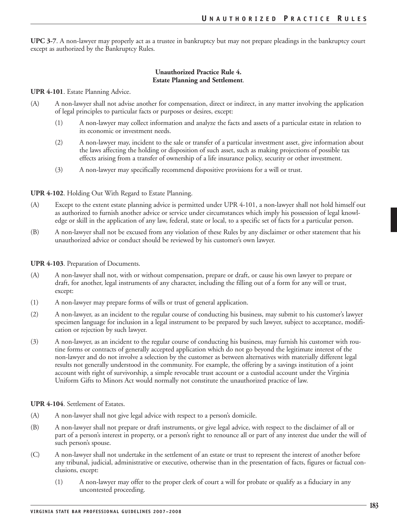**UPC 3-7**. A non-lawyer may properly act as a trustee in bankruptcy but may not prepare pleadings in the bankruptcy court except as authorized by the Bankruptcy Rules.

## **Unauthorized Practice Rule 4. Estate Planning and Settlement**.

**UPR 4-101**. Estate Planning Advice.

- (A) A non-lawyer shall not advise another for compensation, direct or indirect, in any matter involving the application of legal principles to particular facts or purposes or desires, except:
	- (1) A non-lawyer may collect information and analyze the facts and assets of a particular estate in relation to its economic or investment needs.
	- (2) A non-lawyer may, incident to the sale or transfer of a particular investment asset, give information about the laws affecting the holding or disposition of such asset, such as making projections of possible tax effects arising from a transfer of ownership of a life insurance policy, security or other investment.
	- (3) A non-lawyer may specifically recommend dispositive provisions for a will or trust.

#### **UPR 4-102**. Holding Out With Regard to Estate Planning.

- (A) Except to the extent estate planning advice is permitted under UPR 4-101, a non-lawyer shall not hold himself out as authorized to furnish another advice or service under circumstances which imply his possession of legal knowledge or skill in the application of any law, federal, state or local, to a specific set of facts for a particular person.
- (B) A non-lawyer shall not be excused from any violation of these Rules by any disclaimer or other statement that his unauthorized advice or conduct should be reviewed by his customer's own lawyer.

**UPR 4-103**. Preparation of Documents.

- (A) A non-lawyer shall not, with or without compensation, prepare or draft, or cause his own lawyer to prepare or draft, for another, legal instruments of any character, including the filling out of a form for any will or trust, except:
- (1) A non-lawyer may prepare forms of wills or trust of general application.
- (2) A non-lawyer, as an incident to the regular course of conducting his business, may submit to his customer's lawyer specimen language for inclusion in a legal instrument to be prepared by such lawyer, subject to acceptance, modification or rejection by such lawyer.
- (3) A non-lawyer, as an incident to the regular course of conducting his business, may furnish his customer with routine forms or contracts of generally accepted application which do not go beyond the legitimate interest of the non-lawyer and do not involve a selection by the customer as between alternatives with materially different legal results not generally understood in the community. For example, the offering by a savings institution of a joint account with right of survivorship, a simple revocable trust account or a custodial account under the Virginia Uniform Gifts to Minors Act would normally not constitute the unauthorized practice of law.

**UPR 4-104**. Settlement of Estates.

- (A) A non-lawyer shall not give legal advice with respect to a person's domicile.
- (B) A non-lawyer shall not prepare or draft instruments, or give legal advice, with respect to the disclaimer of all or part of a person's interest in property, or a person's right to renounce all or part of any interest due under the will of such person's spouse.
- (C) A non-lawyer shall not undertake in the settlement of an estate or trust to represent the interest of another before any tribunal, judicial, administrative or executive, otherwise than in the presentation of facts, figures or factual conclusions, except:
	- (1) A non-lawyer may offer to the proper clerk of court a will for probate or qualify as a fiduciary in any uncontested proceeding.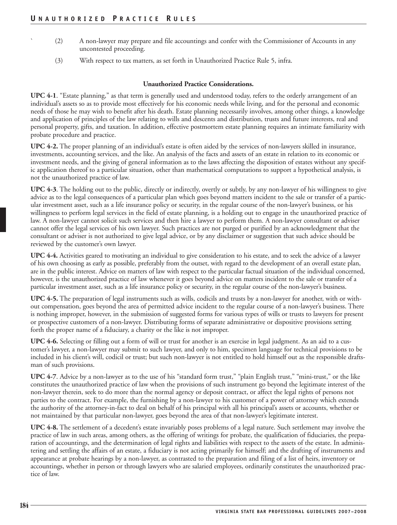- ` (2) A non-lawyer may prepare and file accountings and confer with the Commissioner of Accounts in any uncontested proceeding.
- (3) With respect to tax matters, as set forth in Unauthorized Practice Rule 5, infra.

### **Unauthorized Practice Considerations.**

**UPC 4-1**. "Estate planning," as that term is generally used and understood today, refers to the orderly arrangement of an individual's assets so as to provide most effectively for his economic needs while living, and for the personal and economic needs of those he may wish to benefit after his death. Estate planning necessarily involves, among other things, a knowledge and application of principles of the law relating to wills and descents and distribution, trusts and future interests, real and personal property, gifts, and taxation. In addition, effective postmortem estate planning requires an intimate familiarity with probate procedure and practice.

**UPC 4-2.** The proper planning of an individual's estate is often aided by the services of non-lawyers skilled in insurance, investments, accounting services, and the like. An analysis of the facts and assets of an estate in relation to its economic or investment needs, and the giving of general information as to the laws affecting the disposition of estates without any specific application thereof to a particular situation, other than mathematical computations to support a hypothetical analysis, is not the unauthorized practice of law.

**UPC 4-3**. The holding out to the public, directly or indirectly, overtly or subtly, by any non-lawyer of his willingness to give advice as to the legal consequences of a particular plan which goes beyond matters incident to the sale or transfer of a particular investment asset, such as a life insurance policy or security, in the regular course of the non-lawyer's business, or his willingness to perform legal services in the field of estate planning, is a holding out to engage in the unauthorized practice of law. A non-lawyer cannot solicit such services and then hire a lawyer to perform them. A non-lawyer consultant or adviser cannot offer the legal services of his own lawyer. Such practices are not purged or purified by an acknowledgment that the consultant or adviser is not authorized to give legal advice, or by any disclaimer or suggestion that such advice should be reviewed by the customer's own lawyer.

**UPC 4-4.** Activities geared to motivating an individual to give consideration to his estate, and to seek the advice of a lawyer of his own choosing as early as possible, preferably from the outset, with regard to the development of an overall estate plan, are in the public interest. Advice on matters of law with respect to the particular factual situation of the individual concerned, however, is the unauthorized practice of law whenever it goes beyond advice on matters incident to the sale or transfer of a particular investment asset, such as a life insurance policy or security, in the regular course of the non-lawyer's business.

**UPC 4-5.** The preparation of legal instruments such as wills, codicils and trusts by a non-lawyer for another, with or without compensation, goes beyond the area of permitted advice incident to the regular course of a non-lawyer's business. There is nothing improper, however, in the submission of suggested forms for various types of wills or trusts to lawyers for present or prospective customers of a non-lawyer. Distributing forms of separate administrative or dispositive provisions setting forth the proper name of a fiduciary, a charity or the like is not improper.

**UPC 4-6.** Selecting or filling out a form of will or trust for another is an exercise in legal judgment. As an aid to a customer's lawyer, a non-lawyer may submit to such lawyer, and only to him, specimen language for technical provisions to be included in his client's will, codicil or trust; but such non-lawyer is not entitled to hold himself out as the responsible draftsman of such provisions.

**UPC 4-7**. Advice by a non-lawyer as to the use of his "standard form trust," "plain English trust," "mini-trust," or the like constitutes the unauthorized practice of law when the provisions of such instrument go beyond the legitimate interest of the non-lawyer therein, seek to do more than the normal agency or deposit contract, or affect the legal rights of persons not parties to the contract. For example, the furnishing by a non-lawyer to his customer of a power of attorney which extends the authority of the attorney-in-fact to deal on behalf of his principal with all his principal's assets or accounts, whether or not maintained by that particular non-lawyer, goes beyond the area of that non-lawyer's legitimate interest.

**UPC 4-8.** The settlement of a decedent's estate invariably poses problems of a legal nature. Such settlement may involve the practice of law in such areas, among others, as the offering of writings for probate, the qualification of fiduciaries, the preparation of accountings, and the determination of legal rights and liabilities with respect to the assets of the estate. In administering and settling the affairs of an estate, a fiduciary is not acting primarily for himself; and the drafting of instruments and appearance at probate hearings by a non-lawyer, as contrasted to the preparation and filing of a list of heirs, inventory or accountings, whether in person or through lawyers who are salaried employees, ordinarily constitutes the unauthorized practice of law.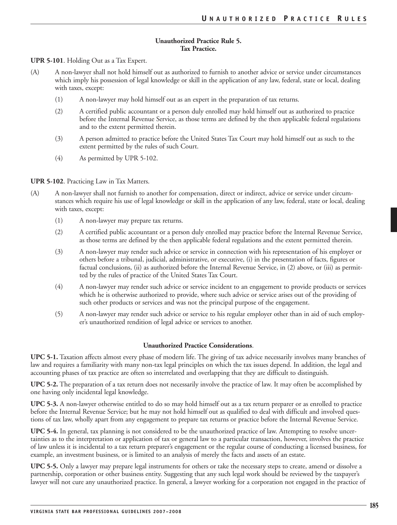## **Unauthorized Practice Rule 5. Tax Practice.**

**UPR 5-101**. Holding Out as a Tax Expert.

- (A) A non-lawyer shall not hold himself out as authorized to furnish to another advice or service under circumstances which imply his possession of legal knowledge or skill in the application of any law, federal, state or local, dealing with taxes, except:
	- (1) A non-lawyer may hold himself out as an expert in the preparation of tax returns.
	- (2) A certified public accountant or a person duly enrolled may hold himself out as authorized to practice before the Internal Revenue Service, as those terms are defined by the then applicable federal regulations and to the extent permitted therein.
	- (3) A person admitted to practice before the United States Tax Court may hold himself out as such to the extent permitted by the rules of such Court.
	- (4) As permitted by UPR 5-102.

### **UPR 5-102**. Practicing Law in Tax Matters.

- (A) A non-lawyer shall not furnish to another for compensation, direct or indirect, advice or service under circumstances which require his use of legal knowledge or skill in the application of any law, federal, state or local, dealing with taxes, except:
	- (1) A non-lawyer may prepare tax returns.
	- (2) A certified public accountant or a person duly enrolled may practice before the Internal Revenue Service, as those terms are defined by the then applicable federal regulations and the extent permitted therein.
	- (3) A non-lawyer may render such advice or service in connection with his representation of his employer or others before a tribunal, judicial, administrative, or executive, (i) in the presentation of facts, figures or factual conclusions, (ii) as authorized before the Internal Revenue Service, in (2) above, or (iii) as permitted by the rules of practice of the United States Tax Court.
	- (4) A non-lawyer may render such advice or service incident to an engagement to provide products or services which he is otherwise authorized to provide, where such advice or service arises out of the providing of such other products or services and was not the principal purpose of the engagement.
	- (5) A non-lawyer may render such advice or service to his regular employer other than in aid of such employer's unauthorized rendition of legal advice or services to another.

#### **Unauthorized Practice Considerations**.

**UPC 5-1.** Taxation affects almost every phase of modern life. The giving of tax advice necessarily involves many branches of law and requires a familiarity with many non-tax legal principles on which the tax issues depend. In addition, the legal and accounting phases of tax practice are often so interrelated and overlapping that they are difficult to distinguish.

**UPC 5-2.** The preparation of a tax return does not necessarily involve the practice of law. It may often be accomplished by one having only incidental legal knowledge.

**UPC 5-3.** A non-lawyer otherwise entitled to do so may hold himself out as a tax return preparer or as enrolled to practice before the Internal Revenue Service; but he may not hold himself out as qualified to deal with difficult and involved questions of tax law, wholly apart from any engagement to prepare tax returns or practice before the Internal Revenue Service.

**UPC 5-4.** In general, tax planning is not considered to be the unauthorized practice of law. Attempting to resolve uncertainties as to the interpretation or application of tax or general law to a particular transaction, however, involves the practice of law unless it is incidental to a tax return preparer's engagement or the regular course of conducting a licensed business, for example, an investment business, or is limited to an analysis of merely the facts and assets of an estate.

**UPC 5-5.** Only a lawyer may prepare legal instruments for others or take the necessary steps to create, amend or dissolve a partnership, corporation or other business entity. Suggesting that any such legal work should be reviewed by the taxpayer's lawyer will not cure any unauthorized practice. In general, a lawyer working for a corporation not engaged in the practice of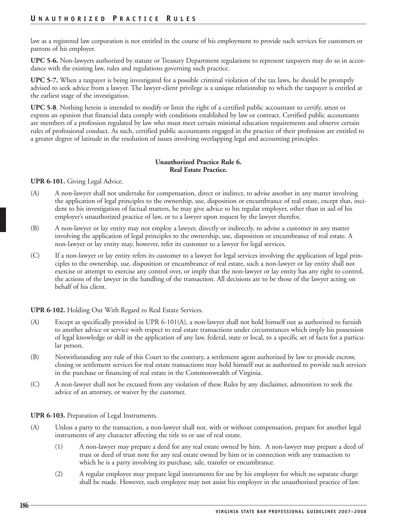law as a registered law corporation is not entitled in the course of his employment to provide such services for customers or patrons of his employer.

**UPC 5-6.** Non-lawyers authorized by statute or Treasury Department regulations to represent taxpayers may do so in accordance with the existing law, rules and regulations governing such practice.

**UPC 5-7.** When a taxpayer is being investigated for a possible criminal violation of the tax laws, he should be promptly advised to seek advice from a lawyer. The lawyer-client privilege is a unique relationship to which the taxpayer is entitled at the earliest stage of the investigation.

**UPC 5-8**. Nothing herein is intended to modify or limit the right of a certified public accountant to certify, attest or express an opinion that financial data comply with conditions established by law or contract. Certified public accountants are members of a profession regulated by law who must meet certain minimal education requirements and observe certain rules of professional conduct. As such, certified public accountants engaged in the practice of their profession are entitled to a greater degree of latitude in the resolution of issues involving overlapping legal and accounting principles.

### **Unauthorized Practice Rule 6. Real Estate Practice.**

**UPR 6-101.** Giving Legal Advice.

- (A) A non-lawyer shall not undertake for compensation, direct or indirect, to advise another in any matter involving the application of legal principles to the ownership, use, disposition or encumbrance of real estate, except that, incident to his investigation of factual matters, he may give advice to his regular employer, other than in aid of his employer's unauthorized practice of law, or to a lawyer upon request by the lawyer therefor.
- (B) A non-lawyer or lay entity may not employ a lawyer, directly or indirectly, to advise a customer in any matter involving the application of legal principles to the ownership, use, disposition or encumbrance of real estate. A non-lawyer or lay entity may, however, refer its customer to a lawyer for legal services.
- (C) If a non-lawyer or lay entity refers its customer to a lawyer for legal services involving the application of legal principles to the ownership, use, disposition or encumbrance of real estate, such a non-lawyer or lay entity shall not exercise or attempt to exercise any control over, or imply that the non-lawyer or lay entity has any right to control, the actions of the lawyer in the handling of the transaction. All decisions are to be those of the lawyer acting on behalf of his client.

**UPR 6-102.** Holding Out With Regard to Real Estate Services.

- (A) Except as specifically provided in UPR 6-101(A), a non-lawyer shall not hold himself out as authorized to furnish to another advice or service with respect to real estate transactions under circumstances which imply his possession of legal knowledge or skill in the application of any law, federal, state or local, to a specific set of facts for a particular person.
- (B) Notwithstanding any rule of this Court to the contrary, a settlement agent authorized by law to provide escrow, closing or settlement services for real estate transactions may hold himself out as authorized to provide such services in the purchase or financing of real estate in the Commonwealth of Virginia.
- (C) A non-lawyer shall not be excused from any violation of these Rules by any disclaimer, admonition to seek the advice of an attorney, or waiver by the customer.

**UPR 6-103.** Preparation of Legal Instruments.

- (A) Unless a party to the transaction, a non-lawyer shall not, with or without compensation, prepare for another legal instruments of any character affecting the title to or use of real estate.
	- (1) A non-lawyer may prepare a deed for any real estate owned by him. A non-lawyer may prepare a deed of trust or deed of trust note for any real estate owned by him or in connection with any transaction to which he is a party involving its purchase, sale, transfer or encumbrance.
	- (2) A regular employee may prepare legal instruments for use by his employer for which no separate charge shall be made. However, such employee may not assist his employer in the unauthorized practice of law.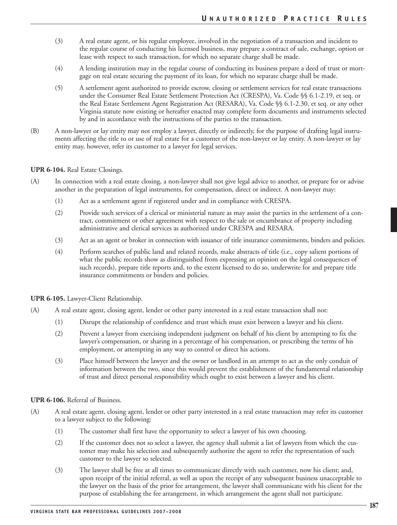- (3) A real estate agent, or his regular employee, involved in the negotiation of a transaction and incident to the regular course of conducting his licensed business, may prepare a contract of sale, exchange, option or lease with respect to such transaction, for which no separate charge shall be made.
- (4) A lending institution may in the regular course of conducting its business prepare a deed of trust or mortgage on real estate securing the payment of its loan, for which no separate charge shall be made.
- (5) A settlement agent authorized to provide escrow, closing or settlement services for real estate transactions under the Consumer Real Estate Settlement Protection Act (CRESPA), Va. Code §§ 6.1-2.19, et seq. or the Real Estate Settlement Agent Registration Act (RESARA), Va. Code §§ 6.1-2.30, et seq. or any other Virginia statute now existing or hereafter enacted may complete form documents and instruments selected by and in accordance with the instructions of the parties to the transaction.
- (B) A non-lawyer or lay entity may not employ a lawyer, directly or indirectly, for the purpose of drafting legal instruments affecting the title to or use of real estate for a customer of the non-lawyer or lay entity. A non-lawyer or lay entity may, however, refer its customer to a lawyer for legal services.

## **UPR 6-104.** Real Estate Closings.

- (A) In connection with a real estate closing, a non-lawyer shall not give legal advice to another, or prepare for or advise another in the preparation of legal instruments, for compensation, direct or indirect. A non-lawyer may:
	- (1) Act as a settlement agent if registered under and in compliance with CRESPA.
	- (2) Provide such services of a clerical or ministerial nature as may assist the parties in the settlement of a contract, commitment or other agreement with respect to the sale or encumbrance of property including administrative and clerical services as authorized under CRESPA and RESARA.
	- (3) Act as an agent or broker in connection with issuance of title insurance commitments, binders and policies.
	- (4) Perform searches of public land and related records, make abstracts of title (i.e., copy salient portions of what the public records show as distinguished from expressing an opinion on the legal consequences of such records), prepare title reports and, to the extent licensed to do so, underwrite for and prepare title insurance commitments or binders and policies.

## **UPR 6-105.** Lawyer-Client Relationship.

- (A) A real estate agent, closing agent, lender or other party interested in a real estate transaction shall not:
	- (1) Disrupt the relationship of confidence and trust which must exist between a lawyer and his client.
	- (2) Prevent a lawyer from exercising independent judgment on behalf of his client by attempting to fix the lawyer's compensation, or sharing in a percentage of his compensation, or prescribing the terms of his employment, or attempting in any way to control or direct his actions.
	- (3) Place himself between the lawyer and the owner or landlord in an attempt to act as the only conduit of information between the two, since this would prevent the establishment of the fundamental relationship of trust and direct personal responsibility which ought to exist between a lawyer and his client.

## **UPR 6-106.** Referral of Business.

- (A) A real estate agent, closing agent, lender or other party interested in a real estate transaction may refer its customer to a lawyer subject to the following:
	- (1) The customer shall first have the opportunity to select a lawyer of his own choosing.
	- (2) If the customer does not so select a lawyer, the agency shall submit a list of lawyers from which the customer may make his selection and subsequently authorize the agent to refer the representation of such customer to the lawyer so selected.
	- (3) The lawyer shall be free at all times to communicate directly with such customer, now his client; and, upon receipt of the initial referral, as well as upon the receipt of any subsequent business unacceptable to the lawyer on the basis of the prior fee arrangement, the lawyer shall communicate with his client for the purpose of establishing the fee arrangement, in which arrangement the agent shall not participate.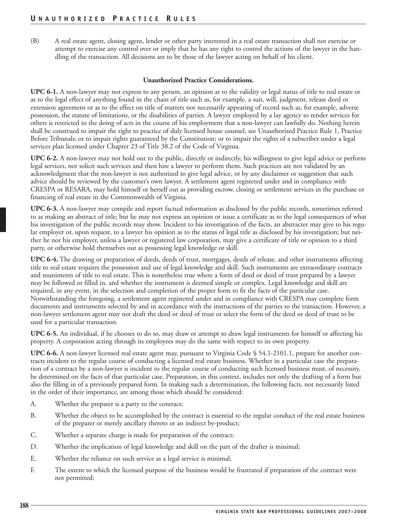(B) A real estate agent, closing agent, lender or other party interested in a real estate transaction shall not exercise or attempt to exercise any control over or imply that he has any right to control the actions of the lawyer in the handling of the transaction. All decisions are to be those of the lawyer acting on behalf of his client.

## **Unauthorized Practice Considerations.**

**UPC 6-1.** A non-lawyer may not express to any person, an opinion as to the validity or legal status of title to real estate or as to the legal effect of anything found in the chain of title such as, for example, a suit, will, judgment, release deed or extension agreement or as to the effect on title of matters not necessarily appearing of record such as, for example, adverse possession, the statute of limitations, or the disabilities of parties. A lawyer employed by a lay agency to render services for others is restricted to the doing of acts in the course of his employment that a non-lawyer can lawfully do. Nothing herein shall be construed to impair the right to practice of duly licensed house counsel, see Unauthorized Practice Rule 1, Practice Before Tribunals; or to impair rights guaranteed by the Constitution; or to impair the rights of a subscriber under a legal services plan licensed under Chapter 23 of Title 38.2 of the Code of Virginia.

**UPC 6-2.** A non-lawyer may not hold out to the public, directly or indirectly, his willingness to give legal advice or perform legal services, nor solicit such services and then hire a lawyer to perform them. Such practices are not validated by an acknowledgment that the non-lawyer is not authorized to give legal advice, or by any disclaimer or suggestion that such advice should be reviewed by the customer's own lawyer. A settlement agent registered under and in compliance with CRESPA or RESARA, may hold himself or herself out as providing escrow, closing or settlement services in the purchase or financing of real estate in the Commonwealth of Virginia.

**UPC 6-3.** A non-lawyer may compile and report factual information as disclosed by the public records, sometimes referred to as making an abstract of title; but he may not express an opinion or issue a certificate as to the legal consequences of what his investigation of the public records may show. Incident to his investigation of the facts, an abstracter may give to his regular employer or, upon request, to a lawyer his opinion as to the status of legal title as disclosed by his investigation; but neither he nor his employer, unless a lawyer or registered law corporation, may give a certificate of title or opinion to a third party, or otherwise hold themselves out as possessing legal knowledge or skill.

**UPC 6-4.** The drawing or preparation of deeds, deeds of trust, mortgages, deeds of release, and other instruments affecting title to real estate requires the possession and use of legal knowledge and skill. Such instruments are extraordinary contracts and muniments of title to real estate. This is nonetheless true where a form of deed or deed of trust prepared by a lawyer may be followed or filled in, and whether the instrument is deemed simple or complex. Legal knowledge and skill are required, in any event, in the selection and completion of the proper form to fit the facts of the particular case. Notwithstanding the foregoing, a settlement agent registered under and in compliance with CRESPA may complete form documents and instruments selected by and in accordance with the instructions of the parties to the transaction. However, a non-lawyer settlement agent may not draft the deed or deed of trust or select the form of the deed or deed of trust to be used for a particular transaction.

**UPC 6-5.** An individual, if he chooses to do so, may draw or attempt to draw legal instruments for himself or affecting his property. A corporation acting through its employees may do the same with respect to its own property.

**UPC 6-6.** A non-lawyer licensed real estate agent may, pursuant to Virginia Code § 54.1-2101.1, prepare for another contracts incident to the regular course of conducting a licensed real estate business. Whether in a particular case the preparation of a contract by a non-lawyer is incident to the regular course of conducting such licensed business must, of necessity, be determined on the facts of that particular case. Preparation, in this context, includes not only the drafting of a form but also the filling in of a previously prepared form. In making such a determination, the following facts, not necessarily listed in the order of their importance, are among those which should be considered:

- A. Whether the preparer is a party to the contract;
- B. Whether the object to be accomplished by the contract is essential to the regular conduct of the real estate business of the preparer or merely ancillary thereto or an indirect by-product;
- C. Whether a separate charge is made for preparation of the contract;
- D. Whether the implication of legal knowledge and skill on the part of the drafter is minimal;
- E. Whether the reliance on such service as a legal service is minimal;
- F. The extent to which the licensed purpose of the business would be frustrated if preparation of the contract were not permitted;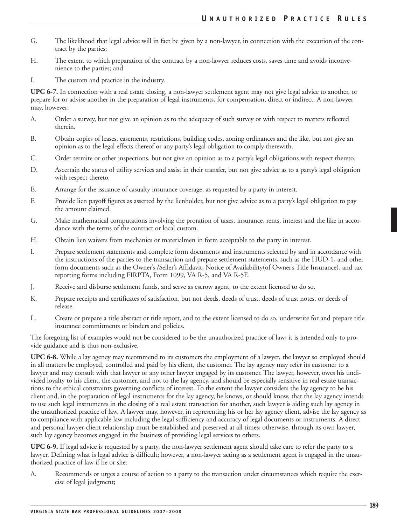- G. The likelihood that legal advice will in fact be given by a non-lawyer, in connection with the execution of the contract by the parties;
- H. The extent to which preparation of the contract by a non-lawyer reduces costs, saves time and avoids inconvenience to the parties; and
- I. The custom and practice in the industry.

**UPC 6-7.** In connection with a real estate closing, a non-lawyer settlement agent may not give legal advice to another, or prepare for or advise another in the preparation of legal instruments, for compensation, direct or indirect. A non-lawyer may, however:

- A. Order a survey, but not give an opinion as to the adequacy of such survey or with respect to matters reflected therein.
- B. Obtain copies of leases, easements, restrictions, building codes, zoning ordinances and the like, but not give an opinion as to the legal effects thereof or any party's legal obligation to comply therewith.
- C. Order termite or other inspections, but not give an opinion as to a party's legal obligations with respect thereto.
- D. Ascertain the status of utility services and assist in their transfer, but not give advice as to a party's legal obligation with respect thereto.
- E. Arrange for the issuance of casualty insurance coverage, as requested by a party in interest.
- F. Provide lien payoff figures as asserted by the lienholder, but not give advice as to a party's legal obligation to pay the amount claimed.
- G. Make mathematical computations involving the proration of taxes, insurance, rents, interest and the like in accordance with the terms of the contract or local custom.
- H. Obtain lien waivers from mechanics or materialmen in form acceptable to the party in interest.
- I. Prepare settlement statements and complete form documents and instruments selected by and in accordance with the instructions of the parties to the transaction and prepare settlement statements, such as the HUD-1, and other form documents such as the Owner's /Seller's Affidavit, Notice of Availability(of Owner's Title Insurance), and tax reporting forms including FIRPTA, Form 1099, VA R-5, and VA R-5E.
- J. Receive and disburse settlement funds, and serve as escrow agent, to the extent licensed to do so.
- K. Prepare receipts and certificates of satisfaction, but not deeds, deeds of trust, deeds of trust notes, or deeds of release.
- L. Create or prepare a title abstract or title report, and to the extent licensed to do so, underwrite for and prepare title insurance commitments or binders and policies.

The foregoing list of examples would not be considered to be the unauthorized practice of law; it is intended only to provide guidance and is thus non-exclusive.

**UPC 6-8.** While a lay agency may recommend to its customers the employment of a lawyer, the lawyer so employed should in all matters be employed, controlled and paid by his client, the customer. The lay agency may refer its customer to a lawyer and may consult with that lawyer or any other lawyer engaged by its customer. The lawyer, however, owes his undivided loyalty to his client, the customer, and not to the lay agency, and should be especially sensitive in real estate transactions to the ethical constraints governing conflicts of interest. To the extent the lawyer considers the lay agency to be his client and, in the preparation of legal instruments for the lay agency, he knows, or should know, that the lay agency intends to use such legal instruments in the closing of a real estate transaction for another, such lawyer is aiding such lay agency in the unauthorized practice of law. A lawyer may, however, in representing his or her lay agency client, advise the lay agency as to compliance with applicable law including the legal sufficiency and accuracy of legal documents or instruments. A direct and personal lawyer-client relationship must be established and preserved at all times; otherwise, through its own lawyer, such lay agency becomes engaged in the business of providing legal services to others.

**UPC 6-9.** If legal advice is requested by a party, the non-lawyer settlement agent should take care to refer the party to a lawyer. Defining what is legal advice is difficult; however, a non-lawyer acting as a settlement agent is engaged in the unauthorized practice of law if he or she:

A. Recommends or urges a course of action to a party to the transaction under circumstances which require the exercise of legal judgment;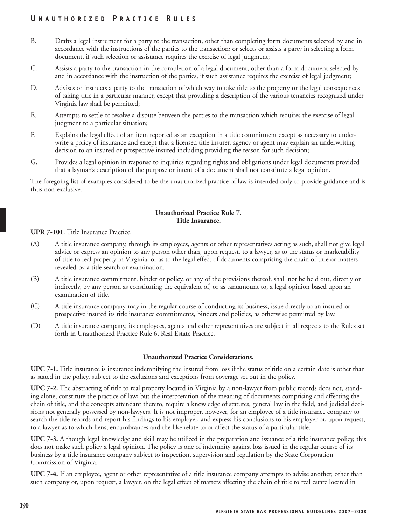- B. Drafts a legal instrument for a party to the transaction, other than completing form documents selected by and in accordance with the instructions of the parties to the transaction; or selects or assists a party in selecting a form document, if such selection or assistance requires the exercise of legal judgment;
- C. Assists a party to the transaction in the completion of a legal document, other than a form document selected by and in accordance with the instruction of the parties, if such assistance requires the exercise of legal judgment;
- D. Advises or instructs a party to the transaction of which way to take title to the property or the legal consequences of taking title in a particular manner, except that providing a description of the various tenancies recognized under Virginia law shall be permitted;
- E. Attempts to settle or resolve a dispute between the parties to the transaction which requires the exercise of legal judgment to a particular situation;
- F. Explains the legal effect of an item reported as an exception in a title commitment except as necessary to underwrite a policy of insurance and except that a licensed title insurer, agency or agent may explain an underwriting decision to an insured or prospective insured including providing the reason for such decision;
- G. Provides a legal opinion in response to inquiries regarding rights and obligations under legal documents provided that a layman's description of the purpose or intent of a document shall not constitute a legal opinion.

The foregoing list of examples considered to be the unauthorized practice of law is intended only to provide guidance and is thus non-exclusive.

## **Unauthorized Practice Rule 7. Title Insurance.**

**UPR 7-101**. Title Insurance Practice.

- (A) A title insurance company, through its employees, agents or other representatives acting as such, shall not give legal advice or express an opinion to any person other than, upon request, to a lawyer, as to the status or marketability of title to real property in Virginia, or as to the legal effect of documents comprising the chain of title or matters revealed by a title search or examination.
- (B) A title insurance commitment, binder or policy, or any of the provisions thereof, shall not be held out, directly or indirectly, by any person as constituting the equivalent of, or as tantamount to, a legal opinion based upon an examination of title.
- (C) A title insurance company may in the regular course of conducting its business, issue directly to an insured or prospective insured its title insurance commitments, binders and policies, as otherwise permitted by law.
- (D) A title insurance company, its employees, agents and other representatives are subject in all respects to the Rules set forth in Unauthorized Practice Rule 6, Real Estate Practice.

## **Unauthorized Practice Considerations.**

**UPC 7-1.** Title insurance is insurance indemnifying the insured from loss if the status of title on a certain date is other than as stated in the policy, subject to the exclusions and exceptions from coverage set out in the policy.

**UPC 7-2.** The abstracting of title to real property located in Virginia by a non-lawyer from public records does not, standing alone, constitute the practice of law; but the interpretation of the meaning of documents comprising and affecting the chain of title, and the concepts attendant thereto, require a knowledge of statutes, general law in the field, and judicial decisions not generally possessed by non-lawyers. It is not improper, however, for an employee of a title insurance company to search the title records and report his findings to his employer, and express his conclusions to his employer or, upon request, to a lawyer as to which liens, encumbrances and the like relate to or affect the status of a particular title.

**UPC 7-3.** Although legal knowledge and skill may be utilized in the preparation and issuance of a title insurance policy, this does not make such policy a legal opinion. The policy is one of indemnity against loss issued in the regular course of its business by a title insurance company subject to inspection, supervision and regulation by the State Corporation Commission of Virginia.

**UPC 7-4.** If an employee, agent or other representative of a title insurance company attempts to advise another, other than such company or, upon request, a lawyer, on the legal effect of matters affecting the chain of title to real estate located in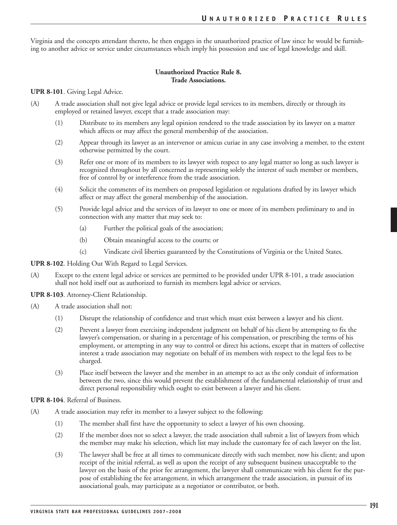Virginia and the concepts attendant thereto, he then engages in the unauthorized practice of law since he would be furnishing to another advice or service under circumstances which imply his possession and use of legal knowledge and skill.

## **Unauthorized Practice Rule 8. Trade Associations.**

#### **UPR 8-101**. Giving Legal Advice.

- (A) A trade association shall not give legal advice or provide legal services to its members, directly or through its employed or retained lawyer, except that a trade association may:
	- (1) Distribute to its members any legal opinion rendered to the trade association by its lawyer on a matter which affects or may affect the general membership of the association.
	- (2) Appear through its lawyer as an intervenor or amicus curiae in any case involving a member, to the extent otherwise permitted by the court.
	- (3) Refer one or more of its members to its lawyer with respect to any legal matter so long as such lawyer is recognized throughout by all concerned as representing solely the interest of such member or members, free of control by or interference from the trade association.
	- (4) Solicit the comments of its members on proposed legislation or regulations drafted by its lawyer which affect or may affect the general membership of the association.
	- (5) Provide legal advice and the services of its lawyer to one or more of its members preliminary to and in connection with any matter that may seek to:
		- (a) Further the political goals of the association;
		- (b) Obtain meaningful access to the courts; or
		- (c) Vindicate civil liberties guaranteed by the Constitutions of Virginia or the United States.

**UPR 8-102**. Holding Out With Regard to Legal Services.

(A) Except to the extent legal advice or services are permitted to be provided under UPR 8-101, a trade association shall not hold itself out as authorized to furnish its members legal advice or services.

**UPR 8-103**. Attorney-Client Relationship.

- (A) A trade association shall not:
	- (1) Disrupt the relationship of confidence and trust which must exist between a lawyer and his client.
	- (2) Prevent a lawyer from exercising independent judgment on behalf of his client by attempting to fix the lawyer's compensation, or sharing in a percentage of his compensation, or prescribing the terms of his employment, or attempting in any way to control or direct his actions, except that in matters of collective interest a trade association may negotiate on behalf of its members with respect to the legal fees to be charged.
	- (3) Place itself between the lawyer and the member in an attempt to act as the only conduit of information between the two, since this would prevent the establishment of the fundamental relationship of trust and direct personal responsibility which ought to exist between a lawyer and his client.

#### **UPR 8-104**. Referral of Business.

- (A) A trade association may refer its member to a lawyer subject to the following:
	- (1) The member shall first have the opportunity to select a lawyer of his own choosing.
	- (2) If the member does not so select a lawyer, the trade association shall submit a list of lawyers from which the member may make his selection, which list may include the customary fee of each lawyer on the list.
	- (3) The lawyer shall be free at all times to communicate directly with such member, now his client; and upon receipt of the initial referral, as well as upon the receipt of any subsequent business unacceptable to the lawyer on the basis of the prior fee arrangement, the lawyer shall communicate with his client for the purpose of establishing the fee arrangement, in which arrangement the trade association, in pursuit of its associational goals, may participate as a negotiator or contributor, or both.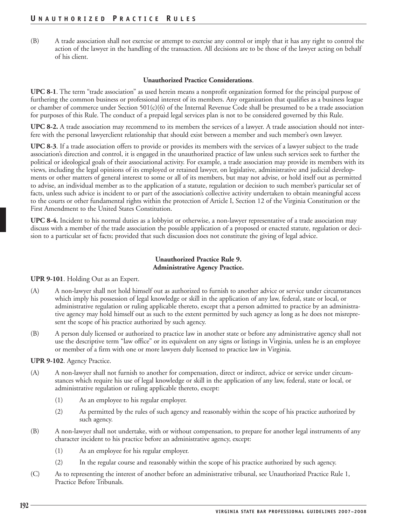(B) A trade association shall not exercise or attempt to exercise any control or imply that it has any right to control the action of the lawyer in the handling of the transaction. All decisions are to be those of the lawyer acting on behalf of his client.

### **Unauthorized Practice Considerations**.

**UPC 8-1**. The term "trade association" as used herein means a nonprofit organization formed for the principal purpose of furthering the common business or professional interest of its members. Any organization that qualifies as a business league or chamber of commerce under Section 501(c)(6) of the Internal Revenue Code shall be presumed to be a trade association for purposes of this Rule. The conduct of a prepaid legal services plan is not to be considered governed by this Rule.

**UPC 8-2.** A trade association may recommend to its members the services of a lawyer. A trade association should not interfere with the personal lawyerclient relationship that should exist between a member and such member's own lawyer.

**UPC 8-3**. If a trade association offers to provide or provides its members with the services of a lawyer subject to the trade association's direction and control, it is engaged in the unauthorized practice of law unless such services seek to further the political or ideological goals of their associational activity. For example, a trade association may provide its members with its views, including the legal opinions of its employed or retained lawyer, on legislative, administrative and judicial developments or other matters of general interest to some or all of its members, but may not advise, or hold itself out as permitted to advise, an individual member as to the application of a statute, regulation or decision to such member's particular set of facts, unless such advice is incident to or part of the association's collective activity undertaken to obtain meaningful access to the courts or other fundamental rights within the protection of Article I, Section 12 of the Virginia Constitution or the First Amendment to the United States Constitution.

**UPC 8-4.** Incident to his normal duties as a lobbyist or otherwise, a non-lawyer representative of a trade association may discuss with a member of the trade association the possible application of a proposed or enacted statute, regulation or decision to a particular set of facts; provided that such discussion does not constitute the giving of legal advice.

#### **Unauthorized Practice Rule 9. Administrative Agency Practice.**

**UPR 9-101**. Holding Out as an Expert.

- (A) A non-lawyer shall not hold himself out as authorized to furnish to another advice or service under circumstances which imply his possession of legal knowledge or skill in the application of any law, federal, state or local, or administrative regulation or ruling applicable thereto, except that a person admitted to practice by an administrative agency may hold himself out as such to the extent permitted by such agency as long as he does not misrepresent the scope of his practice authorized by such agency.
- (B) A person duly licensed or authorized to practice law in another state or before any administrative agency shall not use the descriptive term "law office" or its equivalent on any signs or listings in Virginia, unless he is an employee or member of a firm with one or more lawyers duly licensed to practice law in Virginia.

**UPR 9-102**. Agency Practice.

- (A) A non-lawyer shall not furnish to another for compensation, direct or indirect, advice or service under circumstances which require his use of legal knowledge or skill in the application of any law, federal, state or local, or administrative regulation or ruling applicable thereto, except:
	- (1) As an employee to his regular employer.
	- (2) As permitted by the rules of such agency and reasonably within the scope of his practice authorized by such agency.
- (B) A non-lawyer shall not undertake, with or without compensation, to prepare for another legal instruments of any character incident to his practice before an administrative agency, except:
	- (1) As an employee for his regular employer.
	- (2) In the regular course and reasonably within the scope of his practice authorized by such agency.
- (C) As to representing the interest of another before an administrative tribunal, see Unauthorized Practice Rule 1, Practice Before Tribunals.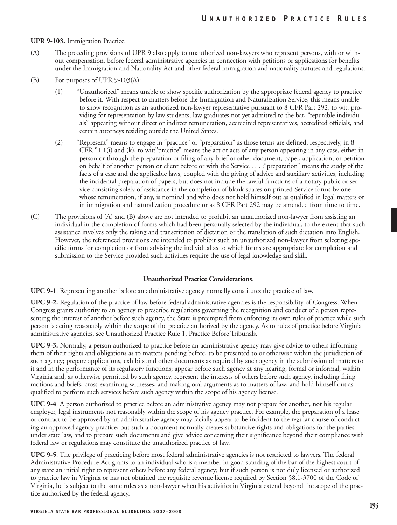**UPR 9-103.** Immigration Practice.

- (A) The preceding provisions of UPR 9 also apply to unauthorized non-lawyers who represent persons, with or without compensation, before federal administrative agencies in connection with petitions or applications for benefits under the Immigration and Nationality Act and other federal immigration and nationality statutes and regulations.
- (B) For purposes of UPR 9-103(A):
	- (1) "Unauthorized" means unable to show specific authorization by the appropriate federal agency to practice before it. With respect to matters before the Immigration and Naturalization Service, this means unable to show recognition as an authorized non-lawyer representative pursuant to 8 CFR Part 292, to wit: providing for representation by law students, law graduates not yet admitted to the bar, "reputable individuals" appearing without direct or indirect remuneration, accredited representatives, accredited officials, and certain attorneys residing outside the United States.
	- (2) "Represent" means to engage in "practice" or "preparation" as those terms are defined, respectively, in 8 CFR <sup>"</sup>1.1(i) and (k), to wit: "practice" means the act or acts of any person appearing in any case, either in person or through the preparation or filing of any brief or other document, paper, application, or petition on behalf of another person or client before or with the Service . . . ;"preparation" means the study of the facts of a case and the applicable laws, coupled with the giving of advice and auxiliary activities, including the incidental preparation of papers, but does not include the lawful functions of a notary public or service consisting solely of assistance in the completion of blank spaces on printed Service forms by one whose remuneration, if any, is nominal and who does not hold himself out as qualified in legal matters or in immigration and naturalization procedure or as 8 CFR Part 292 may be amended from time to time.
- (C) The provisions of (A) and (B) above are not intended to prohibit an unauthorized non-lawyer from assisting an individual in the completion of forms which had been personally selected by the individual, to the extent that such assistance involves only the taking and transcription of dictation or the translation of such dictation into English. However, the referenced provisions are intended to prohibit such an unauthorized non-lawyer from selecting specific forms for completion or from advising the individual as to which forms are appropriate for completion and submission to the Service provided such activities require the use of legal knowledge and skill.

#### **Unauthorized Practice Considerations**.

**UPC 9-1**. Representing another before an administrative agency normally constitutes the practice of law.

**UPC 9-2.** Regulation of the practice of law before federal administrative agencies is the responsibility of Congress. When Congress grants authority to an agency to prescribe regulations governing the recognition and conduct of a person representing the interest of another before such agency, the State is preempted from enforcing its own rules of practice while such person is acting reasonably within the scope of the practice authorized by the agency. As to rules of practice before Virginia administrative agencies, see Unauthorized Practice Rule 1, Practice Before Tribunals.

**UPC 9-3.** Normally, a person authorized to practice before an administrative agency may give advice to others informing them of their rights and obligations as to matters pending before, to be presented to or otherwise within the jurisdiction of such agency; prepare applications, exhibits and other documents as required by such agency in the submission of matters to it and in the performance of its regulatory functions; appear before such agency at any hearing, formal or informal, within Virginia and, as otherwise permitted by such agency, represent the interests of others before such agency, including filing motions and briefs, cross-examining witnesses, and making oral arguments as to matters of law; and hold himself out as qualified to perform such services before such agency within the scope of his agency license.

**UPC 9-4**. A person authorized to practice before an administrative agency may not prepare for another, not his regular employer, legal instruments not reasonably within the scope of his agency practice. For example, the preparation of a lease or contract to be approved by an administrative agency may facially appear to be incident to the regular course of conducting an approved agency practice; but such a document normally creates substantive rights and obligations for the parties under state law, and to prepare such documents and give advice concerning their significance beyond their compliance with federal law or regulations may constitute the unauthorized practice of law.

**UPC 9-5**. The privilege of practicing before most federal administrative agencies is not restricted to lawyers. The federal Administrative Procedure Act grants to an individual who is a member in good standing of the bar of the highest court of any state an initial right to represent others before any federal agency; but if such person is not duly licensed or authorized to practice law in Virginia or has not obtained the requisite revenue license required by Section 58.1-3700 of the Code of Virginia, he is subject to the same rules as a non-lawyer when his activities in Virginia extend beyond the scope of the practice authorized by the federal agency.